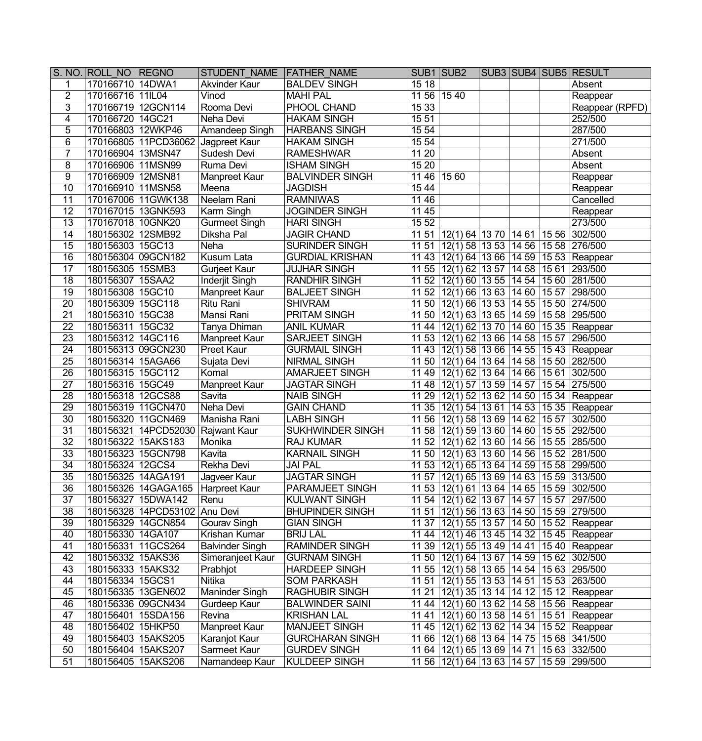|                 | S. NO. ROLL NO REGNO |                                   | STUDENT NAME FATHER NAME          |                         | SUB1 SUB2   |                                                    |  |       | SUB3 SUB4 SUB5 RESULT                               |
|-----------------|----------------------|-----------------------------------|-----------------------------------|-------------------------|-------------|----------------------------------------------------|--|-------|-----------------------------------------------------|
| 1               | 170166710 14DWA1     |                                   | <b>Akvinder Kaur</b>              | <b>BALDEV SINGH</b>     | 1518        |                                                    |  |       | Absent                                              |
| $\overline{2}$  | 170166716 11IL04     |                                   | Vinod                             | <b>MAHI PAL</b>         | 11 56 15 40 |                                                    |  |       | Reappear                                            |
| $\overline{3}$  | 170166719 12GCN114   |                                   | Rooma Devi                        | PHOOL CHAND             | 15 33       |                                                    |  |       | Reappear (RPFD)                                     |
| $\overline{4}$  | 170166720 14GC21     |                                   | Neha Devi                         | <b>HAKAM SINGH</b>      | 1551        |                                                    |  |       | 252/500                                             |
| 5               | 170166803 12WKP46    |                                   | Amandeep Singh                    | <b>HARBANS SINGH</b>    | 15 54       |                                                    |  |       | 287/500                                             |
| 6               |                      | 170166805 11PCD36062              | Jagpreet Kaur                     | <b>HAKAM SINGH</b>      | 15 54       |                                                    |  |       | 271/500                                             |
| 7               | 170166904 13MSN47    |                                   | Sudesh Devi                       | <b>RAMESHWAR</b>        | 11 20       |                                                    |  |       | Absent                                              |
| 8               | 170166906 11MSN99    |                                   | Ruma Devi                         | <b>ISHAM SINGH</b>      | 15 20       |                                                    |  |       | Absent                                              |
| 9               | 170166909 12MSN81    |                                   | Manpreet Kaur                     | <b>BALVINDER SINGH</b>  | 1146        | 15 60                                              |  |       | Reappear                                            |
| $\overline{10}$ | 170166910 11MSN58    |                                   | Meena                             | <b>JAGDISH</b>          | 1544        |                                                    |  |       | Reappear                                            |
| 11              |                      | 170167006 11GWK138                | Neelam Rani                       | <b>RAMNIWAS</b>         | 11 46       |                                                    |  |       | Cancelled                                           |
| $\overline{12}$ | 170167015 13GNK593   |                                   | Karm Singh                        | <b>JOGINDER SINGH</b>   | 1145        |                                                    |  |       | Reappear                                            |
| $\overline{13}$ | 170167018 10GNK20    |                                   | <b>Gurmeet Singh</b>              | <b>HARI SINGH</b>       | 1552        |                                                    |  |       | 273/500                                             |
| 14              | 180156302 12SMB92    |                                   | Diksha Pal                        | <b>JAGIR CHAND</b>      |             | 11 51 12(1) 64 13 70 14 61 15 56 302/500           |  |       |                                                     |
| 15              | 180156303 15GC13     |                                   | Neha                              | <b>SURINDER SINGH</b>   |             | 11 51 12(1) 58 13 53 14 56 15 58 276/500           |  |       |                                                     |
| 16              | 180156304 09GCN182   |                                   | <b>Kusum Lata</b>                 | <b>GURDIAL KRISHAN</b>  |             |                                                    |  |       | 11 43 12(1) 64 13 66 14 59 15 53 Reappear           |
| 17              | 180156305 15SMB3     |                                   | Gurjeet Kaur                      | <b>JUJHAR SINGH</b>     |             | 11 55 12(1) 62 13 57 14 58 15 61 293/500           |  |       |                                                     |
| 18              | 180156307 15SAA2     |                                   | Inderjit Singh                    | <b>RANDHIR SINGH</b>    |             | 11 52 12(1) 60 13 55 14 54                         |  |       | 15 60 281/500                                       |
| 19              | 180156308 15GC10     |                                   | Manpreet Kaur                     | <b>BALJEET SINGH</b>    |             | 11 52 $\sqrt{12(1) 66}$ 13 63 14 60                |  | 15 57 | 298/500                                             |
| 20              | 180156309 15GC118    |                                   | Ritu Rani                         | <b>SHIVRAM</b>          |             | 11 50 12(1) 66 13 53 14 55                         |  |       | 15 50 274/500                                       |
| $\overline{21}$ | 180156310 15GC38     |                                   | Mansi Rani                        | <b>PRITAM SINGH</b>     |             | 11 50 12(1) 63 13 65 14 59                         |  |       | 15 58 295/500                                       |
| $\overline{22}$ | 180156311 15GC32     |                                   | Tanya Dhiman                      | <b>ANIL KUMAR</b>       |             | 11 44   12(1) 62   13 70   14 60                   |  |       | 15 35 Reappear                                      |
| 23              | 180156312 14GC116    |                                   | Manpreet Kaur                     | <b>SARJEET SINGH</b>    |             | 11 53 12(1) 62 13 66 14 58                         |  | 1557  | 296/500                                             |
| 24              | 180156313 09GCN230   |                                   | <b>Preet Kaur</b>                 | <b>GURMAIL SINGH</b>    |             | 11 43   12(1) 58   13 66   14 55                   |  |       | 15 43 Reappear                                      |
| $\overline{25}$ | 180156314 15AGA66    |                                   | Sujata Devi                       | <b>NIRMAL SINGH</b>     |             | 11 50 12(1) 64 13 64 14 58 15 50 282/500           |  |       |                                                     |
| $\overline{26}$ | 180156315 15GC112    |                                   | Komal                             | <b>AMARJEET SINGH</b>   |             | 11 49 12(1) 62 13 64 14 66 15 61 302/500           |  |       |                                                     |
| $\overline{27}$ | 180156316 15GC49     |                                   | Manpreet Kaur                     | <b>JAGTAR SINGH</b>     |             | 11 48 12(1) 57 13 59 14 57                         |  |       | 15 54 275/500                                       |
| 28              | 180156318 12GCS88    |                                   | Savita                            | <b>NAIB SINGH</b>       |             | 11 29 12(1) 52 13 62 14 50                         |  |       | 15 34 Reappear                                      |
| $\overline{29}$ | 180156319 11GCN470   |                                   | Neha Devi                         | <b>GAIN CHAND</b>       |             |                                                    |  |       | 11 35 12(1) 54 13 61 14 53 15 35 Reappear           |
| $\overline{30}$ | 180156320 11GCN469   |                                   | Manisha Rani                      | <b>LABH SINGH</b>       |             | 11 56 12(1) 58 13 69 14 62                         |  |       | 15 57 302/500                                       |
| 31              |                      | 180156321 14PCD52030 Rajwant Kaur |                                   | <b>SUKHWINDER SINGH</b> |             | 11 58 $ 12(1)$ 59 13 60 14 60                      |  |       | 15 55 292/500                                       |
| 32              | 180156322 15AKS183   |                                   | Monika                            | <b>RAJ KUMAR</b>        |             | 11 52 $\sqrt{12(1) 62}$ 13 60 14 56                |  |       | 15 55 285/500                                       |
| 33              | 180156323 15GCN798   |                                   | Kavita                            | <b>KARNAIL SINGH</b>    |             | 11 50 12(1) 63 13 60 14 56                         |  |       | 15 52 281/500                                       |
| 34              | 180156324 12GCS4     |                                   | Rekha Devi                        | <b>JAI PAL</b>          |             | 11 53 12(1) 65 13 64 14 59                         |  |       | 15 58 299/500                                       |
| $\overline{35}$ | 180156325 14AGA191   |                                   | Jagveer Kaur                      | <b>JAGTAR SINGH</b>     |             | 11 57 12(1) 65 13 69 14 63 15 59 313/500           |  |       |                                                     |
| $\overline{36}$ |                      |                                   | 180156326 14GAGA165 Harpreet Kaur | <b>PARAMJEET SINGH</b>  |             | 11 53 12(1) 61 13 64 14 65 15 59 302/500           |  |       |                                                     |
| 37              |                      | 180156327 15DWA142                | Renu                              | <b>KULWANT SINGH</b>    |             | 11 54 12(1) 62 13 67 14 57 15 57 297/500           |  |       |                                                     |
| 38              |                      | 180156328 14PCD53102              | Anu Devi                          | <b>BHUPINDER SINGH</b>  |             | 11 51 12(1) 56 13 63 14 50 15 59 279/500           |  |       |                                                     |
| 39              | 180156329 14GCN854   |                                   | <b>Gourav Singh</b>               | <b>GIAN SINGH</b>       |             |                                                    |  |       | 11 37   12(1) 55   13 57   14 50   15 52   Reappear |
| 40              | 180156330 14GA107    |                                   | Krishan Kumar                     | <b>BRIJ LAL</b>         |             |                                                    |  |       | 11 44   12(1) 46   13 45   14 32   15 45   Reappear |
| 41              | 180156331 11GCS264   |                                   | <b>Balvinder Singh</b>            | <b>RAMINDER SINGH</b>   |             | 11 39   12(1) 55   13 49   14 41                   |  |       | 15 40 Reappear                                      |
| 42              | 180156332 15AKS36    |                                   | Simeranjeet Kaur                  | <b>GURNAM SINGH</b>     |             | 11 50   12(1) 64   13 67   14 59   15 62   302/500 |  |       |                                                     |
| 43              | 180156333 15AKS32    |                                   | Prabhjot                          | <b>HARDEEP SINGH</b>    |             | 11 55   12(1) 58   13 65   14 54   15 63   295/500 |  |       |                                                     |
| 44              | 180156334 15GCS1     |                                   | <b>Nitika</b>                     | <b>SOM PARKASH</b>      |             | 11 51   12(1) 55   13 53   14 51                   |  |       | 15 53 263/500                                       |
| 45              | 180156335   13GEN602 |                                   | <b>Maninder Singh</b>             | <b>RAGHUBIR SINGH</b>   |             |                                                    |  |       | 11 21   12(1) 35   13 14   14 12   15 12   Reappear |
| 46              | 180156336 09GCN434   |                                   | Gurdeep Kaur                      | <b>BALWINDER SAINI</b>  |             | 11 44 $ 12(1)$ 60 $ 13$ 62 $ 14$ 58                |  |       | 15 56 Reappear                                      |
| 47              | 180156401 15SDA156   |                                   | Revina                            | <b>KRISHAN LAL</b>      |             | 11 41   12(1) 60   13 58   14 51                   |  |       | 15 51 Reappear                                      |
| 48              | 180156402 15HKP50    |                                   | <b>Manpreet Kaur</b>              | <b>MANJEET SINGH</b>    |             | 11 45 12(1) 62 13 62 14 34                         |  |       | 15 52 Reappear                                      |
| 49              | 180156403   15AKS205 |                                   | Karanjot Kaur                     | <b>GURCHARAN SINGH</b>  |             | 11 66 12(1) 68 13 64 14 75                         |  |       | 15 68 341/500                                       |
| 50              | 180156404   15AKS207 |                                   | Sarmeet Kaur                      | <b>GURDEV SINGH</b>     |             | 11 64 12(1) 65 13 69 14 71                         |  |       | 15 63 332/500                                       |
| 51              | 180156405 15AKS206   |                                   | Namandeep Kaur                    | <b>KULDEEP SINGH</b>    |             | 11 56   12(1) 64   13 63   14 57                   |  |       | 15 59 299/500                                       |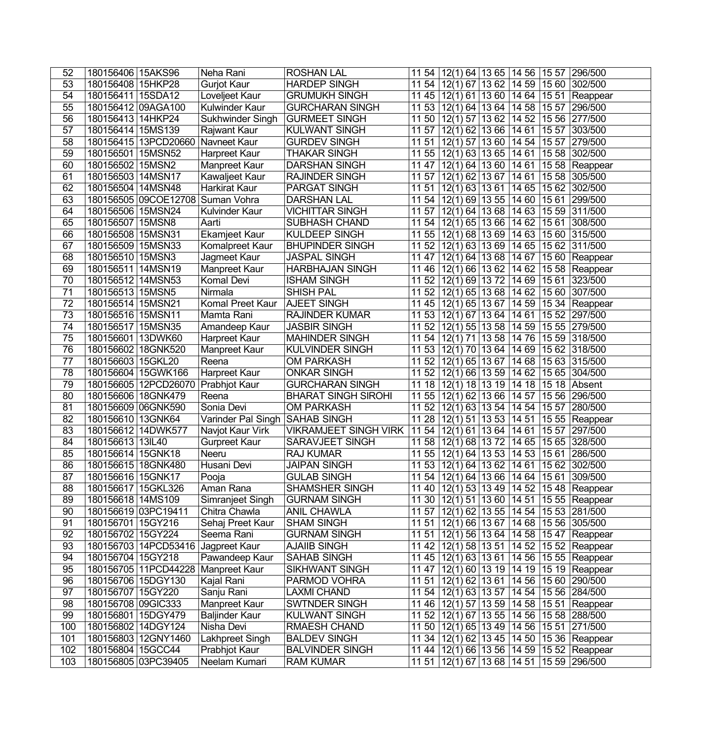| 52              | 180156406 15AKS96                        | Neha Rani                      | <b>ROSHAN LAL</b>                          | 11 54<br>12(1) 64 13 65 14 56 15 57 296/500                                                                 |
|-----------------|------------------------------------------|--------------------------------|--------------------------------------------|-------------------------------------------------------------------------------------------------------------|
| 53              | 180156408 15HKP28                        | <b>Gurjot Kaur</b>             | <b>HARDEP SINGH</b>                        | 12(1) 67 13 62 14 59 15 60 302/500<br>11 54                                                                 |
| 54              | 180156411 15SDA12                        | Loveljeet Kaur                 | <b>GRUMUKH SINGH</b>                       | 1145<br>$12(1)$ 61 13 60 14 64 15 51<br>Reappear                                                            |
| 55              | 180156412 09AGA100                       | Kulwinder Kaur                 | <b>GURCHARAN SINGH</b>                     | 11 53<br>12(1) 64 13 64 14 58 15 57<br>296/500                                                              |
| $\overline{56}$ | 180156413 14HKP24                        | Sukhwinder Singh               | <b>GURMEET SINGH</b>                       | 11 50<br>12(1) 57 13 62 14 52 15 56 277/500                                                                 |
| $\overline{57}$ | 180156414   15MS139                      | <b>Rajwant Kaur</b>            | KULWANT SINGH                              | 11 57<br>$12(1)$ 62 13 66 14 61<br>1557<br>303/500                                                          |
| 58              | 180156415 13PCD20660                     | Navneet Kaur                   | <b>GURDEV SINGH</b>                        | 11 51<br>12(1) 57 13 60 14 54 15 57 279/500                                                                 |
| 59              | 180156501 15MSN52                        | Harpreet Kaur                  | <b>THAKAR SINGH</b>                        | 11 55<br>$12(1)$ 63 13 65 14 61<br>15 58 302/500                                                            |
| 60              | 180156502 15MSN2                         | Manpreet Kaur                  | <b>DARSHAN SINGH</b>                       | 1147<br>$12(1)$ 64   13 60   14 61<br>15 58 Reappear                                                        |
| 61              | 180156503 14MSN17                        | Kawaljeet Kaur                 | <b>RAJINDER SINGH</b>                      | 15 58 305/500<br>11 57<br> 12(1) 62 13 67 14 61                                                             |
| 62              | 180156504 14MSN48                        | Harkirat Kaur                  | <b>PARGAT SINGH</b>                        | 15 62 302/500<br>11 51 12(1) 63 13 61 14 65                                                                 |
| 63              | 180156505 09COE12708 Suman Vohra         |                                | <b>DARSHAN LAL</b>                         | 1154<br>$12(1)$ 69 13 55 14 60<br>15 61 299/500                                                             |
| 64              | 180156506 15MSN24                        | Kulvinder Kaur                 | <b>VICHITTAR SINGH</b>                     | $12(1)$ 64 13 68 14 63<br>15 59 311/500<br>11 57                                                            |
| 65              | 180156507 15MSN8                         | Aarti                          | SUBHASH CHAND                              | 15 61 308/500<br>11 54<br>$12(1)\overline{65}$ 13 66 14 62                                                  |
| 66              | 180156508 15MSN31                        | <b>Ekamjeet Kaur</b>           | <b>KULDEEP SINGH</b>                       | $12(1)$ 68 13 69 14 63<br>15 60 315/500<br>11 55                                                            |
| 67              | 180156509 15MSN33                        | Komalpreet Kaur                | <b>BHUPINDER SINGH</b>                     | 11 52 12(1) 63 13 69 14 65 15 62 311/500                                                                    |
| 68              | 180156510 15MSN3                         | Jagmeet Kaur                   | <b>JASPAL SINGH</b>                        | $12(1)$ 64 13 68 14 67<br>15 60 Reappear<br>1147                                                            |
| 69              | 180156511<br>14MSN19                     | Manpreet Kaur                  | <b>HARBHAJAN SINGH</b>                     | 11 46<br>12(1) 66 13 62 14 62<br>15 58 Reappear                                                             |
| 70              | 180156512 14MSN53                        | Komal Devi                     | <b>ISHAM SINGH</b>                         | 15 61 323/500<br>11 52<br>12(1) 69 13 72 14 69                                                              |
| $\overline{71}$ | 180156513 15MSN5                         | Nirmala                        | <b>SHISH PAL</b>                           | 15 60 307/500<br>1152<br>$12(1)$ 65   13 68   14 62                                                         |
| $\overline{72}$ | 180156514 15MSN21                        | Komal Preet Kaur               | <b>AJEET SINGH</b>                         | 11 45<br>$12(1)$ 65   13 67   14 59<br>$1534$ Reappear                                                      |
| $\overline{73}$ | 180156516 15MSN11                        | Mamta Rani                     | <b>RAJINDER KUMAR</b>                      | 11 53<br>$12(1)$ 67 13 64 14 61<br>1552<br>297/500                                                          |
| 74              | 180156517   15MSN35                      | Amandeep Kaur                  | <b>JASBIR SINGH</b>                        | 1152<br>$12(1)$ 55   13 58   14 59<br>15 55 279/500                                                         |
| $\overline{75}$ | 180156601 13DWK60                        | Harpreet Kaur                  | <b>MAHINDER SINGH</b>                      | 1154<br>12(1) 71 13 58 14 76<br>15 59 318/500                                                               |
| 76              | 180156602 18GNK520                       | Manpreet Kaur                  | <b>KULVINDER SINGH</b>                     | 11 53<br>$12(1)$ 70 13 64 14 69<br>$1562$ 318/500                                                           |
| $\overline{77}$ | 180156603 15GKL20                        | Reena                          | <b>OM PARKASH</b>                          | 11 52<br>$12(1)\overline{65}$ 13 67 14 68<br>15 63 315/500                                                  |
| 78              | 180156604 15GWK166                       | Harpreet Kaur                  | <b>ONKAR SINGH</b>                         | 11 52<br>$12(1)$ 66 13 59 14 62<br>15 65 304/500                                                            |
| 79              | 180156605 12PCD26070                     | Prabhjot Kaur                  | <b>GURCHARAN SINGH</b>                     | 12(1) 18 13 19 14 18<br>$1518$ Absent<br>11 18                                                              |
| 80              | 180156606 18GNK479                       | Reena                          | <b>BHARAT SINGH SIROHI</b>                 | 1155<br>$12(1)$ 62 13 66 14 57<br>15 56 296/500                                                             |
| 81              | 180156609 06GNK590                       | Sonia Devi                     | <b>OM PARKASH</b>                          | 1152<br>$12(1)$ 63 13 54 14 54<br>15 57 280/500                                                             |
| 82              | 180156610 13GNK64                        | Varinder Pal Singh SAHAB SINGH |                                            | $12(1)$ 51 13 53 14 51<br>15 55 Reappear<br>11 28                                                           |
| 83              | 180156612 14DWK577                       | Navjot Kaur Virk               | <b>VIKRAMJEET SINGH VIRK</b>               | 1154<br>15 57 297/500<br>$12(1)\overline{61}$ 13 64 14 61                                                   |
| 84              | 180156613 13IL40                         | Gurpreet Kaur                  | SARAVJEET SINGH                            | 12(1) 68 13 72 14 65<br>15 65 328/500<br>11 58                                                              |
| 85              | 180156614 15GNK18                        | Neeru                          | <b>RAJ KUMAR</b>                           | $12(1)$ 64 13 53 14 53<br>15 61 286/500<br>11 55                                                            |
| 86              | 180156615 18GNK480                       | Husani Devi                    | <b>JAIPAN SINGH</b>                        | $12(1)$ 64 13 62 14 61<br>15 62 302/500<br>11 53                                                            |
| 87              | 180156616 15GNK17                        | Pooja                          | <b>GULAB SINGH</b>                         | 11 54 12(1) 64 13 66 14 64 15 61 309/500                                                                    |
| $\overline{88}$ | 180156617 15GKL326                       | Aman Rana                      | SHAMSHER SINGH                             | 11 40 12(1) 53 13 49 14 52 15 48 Reappear                                                                   |
| 89              | 180156618 14MS109                        | Simranjeet Singh               | <b>GURNAM SINGH</b>                        | 11 30   12(1) 51   13 60   14 51   15 55   Reappear                                                         |
| 90              | 180156619 03PC19411                      | Chitra Chawla                  | <b>ANIL CHAWLA</b>                         | 11 57 12(1) 62 13 55 14 54 15 53 281/500                                                                    |
| 91              | 180156701   15GY216                      | Sehaj Preet Kaur               | <b>SHAM SINGH</b>                          | 11 51   12(1) 66   13 67   14 68   15 56   305/500                                                          |
| 92              | 180156702 15GY224                        | Seema Rani                     | <b>GURNAM SINGH</b>                        | 11 51 12(1) 56 13 64 14 58 15 47 Reappear                                                                   |
| 93              | 180156703 14PCD53416                     | Jagpreet Kaur                  | <b>AJAIIB SINGH</b>                        | 11 42   12(1) 58   13 51   14 52   15 52   Reappear                                                         |
| 94              | 180156704 15GY218                        | Pawandeep Kaur                 | <b>SAHAB SINGH</b>                         | 11 45   12(1) 63   13 61   14 56   15 55   Reappear                                                         |
| 95              | 180156705 11PCD44228                     | Manpreet Kaur                  | <b>SIKHWANT SINGH</b>                      | 11 47   12(1) 60   13 19   14 19   15 19   Reappear                                                         |
| 96              | 180156706   15DGY130                     | Kajal Rani                     | PARMOD VOHRA                               | 11 51   12(1) 62   13 61   14 56   15 60   290/500                                                          |
| 97              | 180156707 15GY220                        | Sanju Rani                     | <b>LAXMI CHAND</b>                         | 11 54 12(1) 63 13 57 14 54 15 56 284/500                                                                    |
| 98              | 180156708 09GIC333                       | Manpreet Kaur                  | <b>SWTNDER SINGH</b>                       | 11 46 12(1) 57 13 59 14 58 15 51 Reappear                                                                   |
| 99              |                                          |                                |                                            |                                                                                                             |
|                 | 180156801 15DGY479                       | <b>Baljinder Kaur</b>          | <b>KULWANT SINGH</b>                       | 11 52   12(1) 67   13 55   14 56   15 58   288/500                                                          |
| 100             | 180156802 14DGY124                       | Nisha Devi                     | RMAESH CHAND                               | 11 50   12(1) 65   13 49   14 56   15 51   271/500                                                          |
| 101             | 180156803   12GNY1460                    | Lakhpreet Singh                | <b>BALDEV SINGH</b>                        | 11 34 12(1) 62 13 45 14 50 15 36 Reappear                                                                   |
| 102<br>103      | 180156804 15GCC44<br>180156805 03PC39405 | Prabhjot Kaur<br>Neelam Kumari | <b>BALVINDER SINGH</b><br><b>RAM KUMAR</b> | 11 44   12(1) 66   13 56   14 59   15 52   Reappear<br>15 59 296/500<br>$12(1)$ 67   13 68   14 51<br>11 51 |